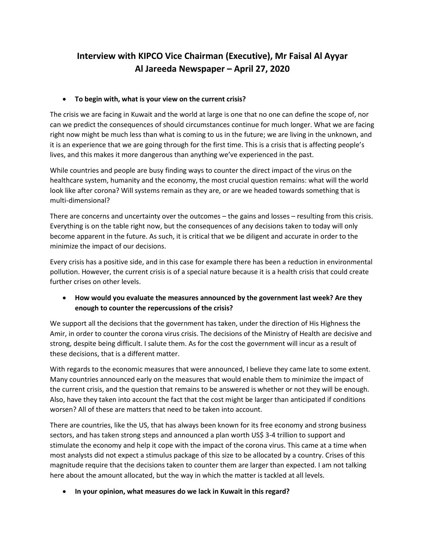# **Interview with KIPCO Vice Chairman (Executive), Mr Faisal Al Ayyar Al Jareeda Newspaper – April 27, 2020**

#### • **To begin with, what is your view on the current crisis?**

The crisis we are facing in Kuwait and the world at large is one that no one can define the scope of, nor can we predict the consequences of should circumstances continue for much longer. What we are facing right now might be much less than what is coming to us in the future; we are living in the unknown, and it is an experience that we are going through for the first time. This is a crisis that is affecting people's lives, and this makes it more dangerous than anything we've experienced in the past.

While countries and people are busy finding ways to counter the direct impact of the virus on the healthcare system, humanity and the economy, the most crucial question remains: what will the world look like after corona? Will systems remain as they are, or are we headed towards something that is multi-dimensional?

There are concerns and uncertainty over the outcomes – the gains and losses – resulting from this crisis. Everything is on the table right now, but the consequences of any decisions taken to today will only become apparent in the future. As such, it is critical that we be diligent and accurate in order to the minimize the impact of our decisions.

Every crisis has a positive side, and in this case for example there has been a reduction in environmental pollution. However, the current crisis is of a special nature because it is a health crisis that could create further crises on other levels.

• **How would you evaluate the measures announced by the government last week? Are they enough to counter the repercussions of the crisis?**

We support all the decisions that the government has taken, under the direction of His Highness the Amir, in order to counter the corona virus crisis. The decisions of the Ministry of Health are decisive and strong, despite being difficult. I salute them. As for the cost the government will incur as a result of these decisions, that is a different matter.

With regards to the economic measures that were announced, I believe they came late to some extent. Many countries announced early on the measures that would enable them to minimize the impact of the current crisis, and the question that remains to be answered is whether or not they will be enough. Also, have they taken into account the fact that the cost might be larger than anticipated if conditions worsen? All of these are matters that need to be taken into account.

There are countries, like the US, that has always been known for its free economy and strong business sectors, and has taken strong steps and announced a plan worth US\$ 3-4 trillion to support and stimulate the economy and help it cope with the impact of the corona virus. This came at a time when most analysts did not expect a stimulus package of this size to be allocated by a country. Crises of this magnitude require that the decisions taken to counter them are larger than expected. I am not talking here about the amount allocated, but the way in which the matter is tackled at all levels.

• **In your opinion, what measures do we lack in Kuwait in this regard?**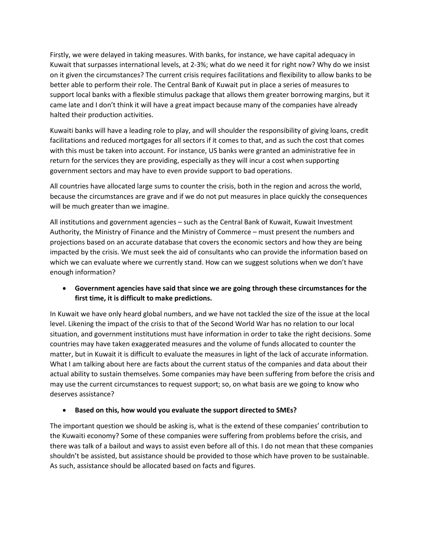Firstly, we were delayed in taking measures. With banks, for instance, we have capital adequacy in Kuwait that surpasses international levels, at 2-3%; what do we need it for right now? Why do we insist on it given the circumstances? The current crisis requires facilitations and flexibility to allow banks to be better able to perform their role. The Central Bank of Kuwait put in place a series of measures to support local banks with a flexible stimulus package that allows them greater borrowing margins, but it came late and I don't think it will have a great impact because many of the companies have already halted their production activities.

Kuwaiti banks will have a leading role to play, and will shoulder the responsibility of giving loans, credit facilitations and reduced mortgages for all sectors if it comes to that, and as such the cost that comes with this must be taken into account. For instance, US banks were granted an administrative fee in return for the services they are providing, especially as they will incur a cost when supporting government sectors and may have to even provide support to bad operations.

All countries have allocated large sums to counter the crisis, both in the region and across the world, because the circumstances are grave and if we do not put measures in place quickly the consequences will be much greater than we imagine.

All institutions and government agencies – such as the Central Bank of Kuwait, Kuwait Investment Authority, the Ministry of Finance and the Ministry of Commerce – must present the numbers and projections based on an accurate database that covers the economic sectors and how they are being impacted by the crisis. We must seek the aid of consultants who can provide the information based on which we can evaluate where we currently stand. How can we suggest solutions when we don't have enough information?

## • **Government agencies have said that since we are going through these circumstances for the first time, it is difficult to make predictions.**

In Kuwait we have only heard global numbers, and we have not tackled the size of the issue at the local level. Likening the impact of the crisis to that of the Second World War has no relation to our local situation, and government institutions must have information in order to take the right decisions. Some countries may have taken exaggerated measures and the volume of funds allocated to counter the matter, but in Kuwait it is difficult to evaluate the measures in light of the lack of accurate information. What I am talking about here are facts about the current status of the companies and data about their actual ability to sustain themselves. Some companies may have been suffering from before the crisis and may use the current circumstances to request support; so, on what basis are we going to know who deserves assistance?

#### • **Based on this, how would you evaluate the support directed to SMEs?**

The important question we should be asking is, what is the extend of these companies' contribution to the Kuwaiti economy? Some of these companies were suffering from problems before the crisis, and there was talk of a bailout and ways to assist even before all of this. I do not mean that these companies shouldn't be assisted, but assistance should be provided to those which have proven to be sustainable. As such, assistance should be allocated based on facts and figures.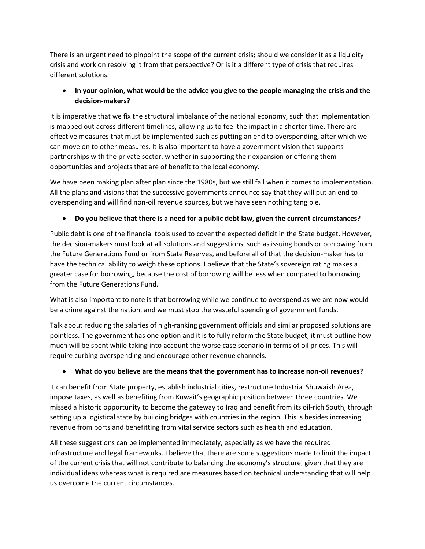There is an urgent need to pinpoint the scope of the current crisis; should we consider it as a liquidity crisis and work on resolving it from that perspective? Or is it a different type of crisis that requires different solutions.

# • **In your opinion, what would be the advice you give to the people managing the crisis and the decision-makers?**

It is imperative that we fix the structural imbalance of the national economy, such that implementation is mapped out across different timelines, allowing us to feel the impact in a shorter time. There are effective measures that must be implemented such as putting an end to overspending, after which we can move on to other measures. It is also important to have a government vision that supports partnerships with the private sector, whether in supporting their expansion or offering them opportunities and projects that are of benefit to the local economy.

We have been making plan after plan since the 1980s, but we still fail when it comes to implementation. All the plans and visions that the successive governments announce say that they will put an end to overspending and will find non-oil revenue sources, but we have seen nothing tangible.

# • **Do you believe that there is a need for a public debt law, given the current circumstances?**

Public debt is one of the financial tools used to cover the expected deficit in the State budget. However, the decision-makers must look at all solutions and suggestions, such as issuing bonds or borrowing from the Future Generations Fund or from State Reserves, and before all of that the decision-maker has to have the technical ability to weigh these options. I believe that the State's sovereign rating makes a greater case for borrowing, because the cost of borrowing will be less when compared to borrowing from the Future Generations Fund.

What is also important to note is that borrowing while we continue to overspend as we are now would be a crime against the nation, and we must stop the wasteful spending of government funds.

Talk about reducing the salaries of high-ranking government officials and similar proposed solutions are pointless. The government has one option and it is to fully reform the State budget; it must outline how much will be spent while taking into account the worse case scenario in terms of oil prices. This will require curbing overspending and encourage other revenue channels.

# • **What do you believe are the means that the government has to increase non-oil revenues?**

It can benefit from State property, establish industrial cities, restructure Industrial Shuwaikh Area, impose taxes, as well as benefiting from Kuwait's geographic position between three countries. We missed a historic opportunity to become the gateway to Iraq and benefit from its oil-rich South, through setting up a logistical state by building bridges with countries in the region. This is besides increasing revenue from ports and benefitting from vital service sectors such as health and education.

All these suggestions can be implemented immediately, especially as we have the required infrastructure and legal frameworks. I believe that there are some suggestions made to limit the impact of the current crisis that will not contribute to balancing the economy's structure, given that they are individual ideas whereas what is required are measures based on technical understanding that will help us overcome the current circumstances.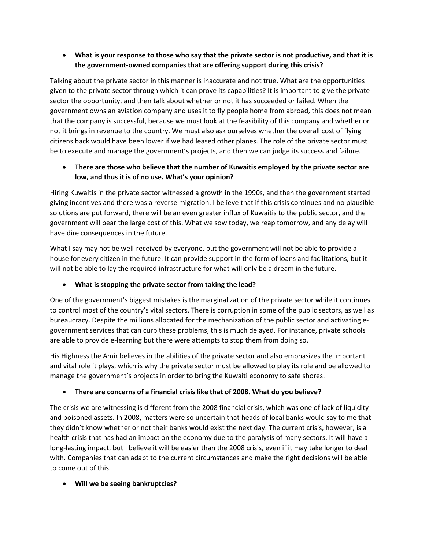# • **What is your response to those who say that the private sector is not productive, and that it is the government-owned companies that are offering support during this crisis?**

Talking about the private sector in this manner is inaccurate and not true. What are the opportunities given to the private sector through which it can prove its capabilities? It is important to give the private sector the opportunity, and then talk about whether or not it has succeeded or failed. When the government owns an aviation company and uses it to fly people home from abroad, this does not mean that the company is successful, because we must look at the feasibility of this company and whether or not it brings in revenue to the country. We must also ask ourselves whether the overall cost of flying citizens back would have been lower if we had leased other planes. The role of the private sector must be to execute and manage the government's projects, and then we can judge its success and failure.

# • **There are those who believe that the number of Kuwaitis employed by the private sector are low, and thus it is of no use. What's your opinion?**

Hiring Kuwaitis in the private sector witnessed a growth in the 1990s, and then the government started giving incentives and there was a reverse migration. I believe that if this crisis continues and no plausible solutions are put forward, there will be an even greater influx of Kuwaitis to the public sector, and the government will bear the large cost of this. What we sow today, we reap tomorrow, and any delay will have dire consequences in the future.

What I say may not be well-received by everyone, but the government will not be able to provide a house for every citizen in the future. It can provide support in the form of loans and facilitations, but it will not be able to lay the required infrastructure for what will only be a dream in the future.

# • **What is stopping the private sector from taking the lead?**

One of the government's biggest mistakes is the marginalization of the private sector while it continues to control most of the country's vital sectors. There is corruption in some of the public sectors, as well as bureaucracy. Despite the millions allocated for the mechanization of the public sector and activating egovernment services that can curb these problems, this is much delayed. For instance, private schools are able to provide e-learning but there were attempts to stop them from doing so.

His Highness the Amir believes in the abilities of the private sector and also emphasizes the important and vital role it plays, which is why the private sector must be allowed to play its role and be allowed to manage the government's projects in order to bring the Kuwaiti economy to safe shores.

# • **There are concerns of a financial crisis like that of 2008. What do you believe?**

The crisis we are witnessing is different from the 2008 financial crisis, which was one of lack of liquidity and poisoned assets. In 2008, matters were so uncertain that heads of local banks would say to me that they didn't know whether or not their banks would exist the next day. The current crisis, however, is a health crisis that has had an impact on the economy due to the paralysis of many sectors. It will have a long-lasting impact, but I believe it will be easier than the 2008 crisis, even if it may take longer to deal with. Companies that can adapt to the current circumstances and make the right decisions will be able to come out of this.

#### • **Will we be seeing bankruptcies?**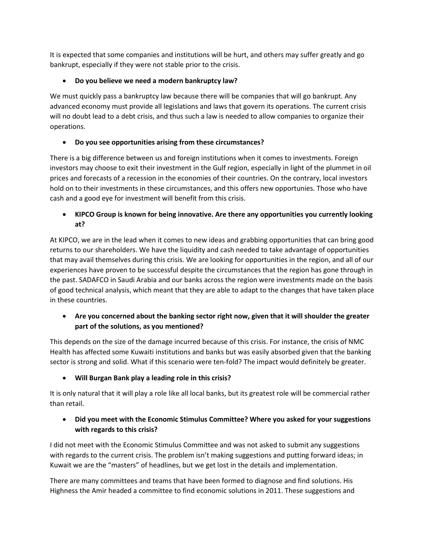It is expected that some companies and institutions will be hurt, and others may suffer greatly and go bankrupt, especially if they were not stable prior to the crisis.

# • **Do you believe we need a modern bankruptcy law?**

We must quickly pass a bankruptcy law because there will be companies that will go bankrupt. Any advanced economy must provide all legislations and laws that govern its operations. The current crisis will no doubt lead to a debt crisis, and thus such a law is needed to allow companies to organize their operations.

# • **Do you see opportunities arising from these circumstances?**

There is a big difference between us and foreign institutions when it comes to investments. Foreign investors may choose to exit their investment in the Gulf region, especially in light of the plummet in oil prices and forecasts of a recession in the economies of their countries. On the contrary, local investors hold on to their investments in these circumstances, and this offers new opportunies. Those who have cash and a good eye for investment will benefit from this crisis.

# • **KIPCO Group is known for being innovative. Are there any opportunities you currently looking at?**

At KIPCO, we are in the lead when it comes to new ideas and grabbing opportunities that can bring good returns to our shareholders. We have the liquidity and cash needed to take advantage of opportunities that may avail themselves during this crisis. We are looking for opportunities in the region, and all of our experiences have proven to be successful despite the circumstances that the region has gone through in the past. SADAFCO in Saudi Arabia and our banks across the region were investments made on the basis of good technical analysis, which meant that they are able to adapt to the changes that have taken place in these countries.

# • **Are you concerned about the banking sector right now, given that it will shoulder the greater part of the solutions, as you mentioned?**

This depends on the size of the damage incurred because of this crisis. For instance, the crisis of NMC Health has affected some Kuwaiti institutions and banks but was easily absorbed given that the banking sector is strong and solid. What if this scenario were ten-fold? The impact would definitely be greater.

# • **Will Burgan Bank play a leading role in this crisis?**

It is only natural that it will play a role like all local banks, but its greatest role will be commercial rather than retail.

# • **Did you meet with the Economic Stimulus Committee? Where you asked for your suggestions with regards to this crisis?**

I did not meet with the Economic Stimulus Committee and was not asked to submit any suggestions with regards to the current crisis. The problem isn't making suggestions and putting forward ideas; in Kuwait we are the "masters" of headlines, but we get lost in the details and implementation.

There are many committees and teams that have been formed to diagnose and find solutions. His Highness the Amir headed a committee to find economic solutions in 2011. These suggestions and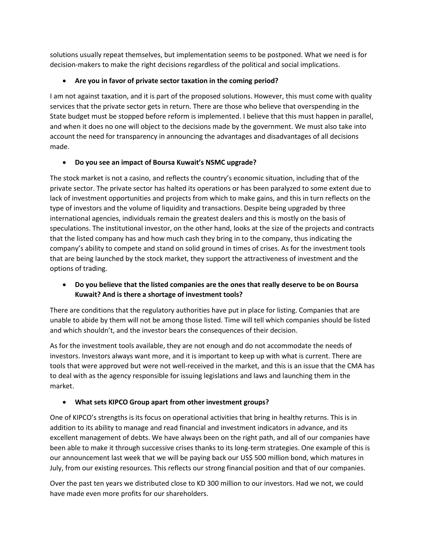solutions usually repeat themselves, but implementation seems to be postponed. What we need is for decision-makers to make the right decisions regardless of the political and social implications.

# • **Are you in favor of private sector taxation in the coming period?**

I am not against taxation, and it is part of the proposed solutions. However, this must come with quality services that the private sector gets in return. There are those who believe that overspending in the State budget must be stopped before reform is implemented. I believe that this must happen in parallel, and when it does no one will object to the decisions made by the government. We must also take into account the need for transparency in announcing the advantages and disadvantages of all decisions made.

## • **Do you see an impact of Boursa Kuwait's NSMC upgrade?**

The stock market is not a casino, and reflects the country's economic situation, including that of the private sector. The private sector has halted its operations or has been paralyzed to some extent due to lack of investment opportunities and projects from which to make gains, and this in turn reflects on the type of investors and the volume of liquidity and transactions. Despite being upgraded by three international agencies, individuals remain the greatest dealers and this is mostly on the basis of speculations. The institutional investor, on the other hand, looks at the size of the projects and contracts that the listed company has and how much cash they bring in to the company, thus indicating the company's ability to compete and stand on solid ground in times of crises. As for the investment tools that are being launched by the stock market, they support the attractiveness of investment and the options of trading.

## • **Do you believe that the listed companies are the ones that really deserve to be on Boursa Kuwait? And is there a shortage of investment tools?**

There are conditions that the regulatory authorities have put in place for listing. Companies that are unable to abide by them will not be among those listed. Time will tell which companies should be listed and which shouldn't, and the investor bears the consequences of their decision.

As for the investment tools available, they are not enough and do not accommodate the needs of investors. Investors always want more, and it is important to keep up with what is current. There are tools that were approved but were not well-received in the market, and this is an issue that the CMA has to deal with as the agency responsible for issuing legislations and laws and launching them in the market.

# • **What sets KIPCO Group apart from other investment groups?**

One of KIPCO's strengths is its focus on operational activities that bring in healthy returns. This is in addition to its ability to manage and read financial and investment indicators in advance, and its excellent management of debts. We have always been on the right path, and all of our companies have been able to make it through successive crises thanks to its long-term strategies. One example of this is our announcement last week that we will be paying back our US\$ 500 million bond, which matures in July, from our existing resources. This reflects our strong financial position and that of our companies.

Over the past ten years we distributed close to KD 300 million to our investors. Had we not, we could have made even more profits for our shareholders.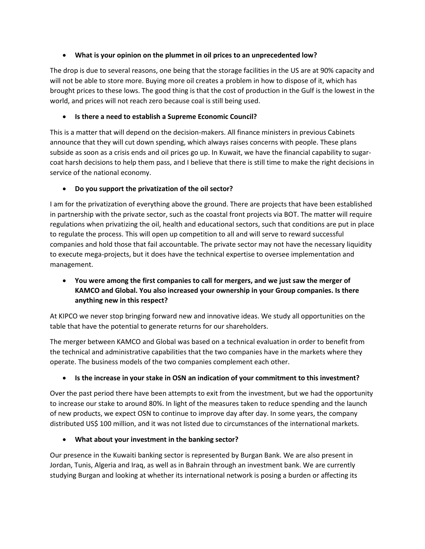## • **What is your opinion on the plummet in oil prices to an unprecedented low?**

The drop is due to several reasons, one being that the storage facilities in the US are at 90% capacity and will not be able to store more. Buying more oil creates a problem in how to dispose of it, which has brought prices to these lows. The good thing is that the cost of production in the Gulf is the lowest in the world, and prices will not reach zero because coal is still being used.

## • **Is there a need to establish a Supreme Economic Council?**

This is a matter that will depend on the decision-makers. All finance ministers in previous Cabinets announce that they will cut down spending, which always raises concerns with people. These plans subside as soon as a crisis ends and oil prices go up. In Kuwait, we have the financial capability to sugarcoat harsh decisions to help them pass, and I believe that there is still time to make the right decisions in service of the national economy.

# • **Do you support the privatization of the oil sector?**

I am for the privatization of everything above the ground. There are projects that have been established in partnership with the private sector, such as the coastal front projects via BOT. The matter will require regulations when privatizing the oil, health and educational sectors, such that conditions are put in place to regulate the process. This will open up competition to all and will serve to reward successful companies and hold those that fail accountable. The private sector may not have the necessary liquidity to execute mega-projects, but it does have the technical expertise to oversee implementation and management.

# • **You were among the first companies to call for mergers, and we just saw the merger of KAMCO and Global. You also increased your ownership in your Group companies. Is there anything new in this respect?**

At KIPCO we never stop bringing forward new and innovative ideas. We study all opportunities on the table that have the potential to generate returns for our shareholders.

The merger between KAMCO and Global was based on a technical evaluation in order to benefit from the technical and administrative capabilities that the two companies have in the markets where they operate. The business models of the two companies complement each other.

# • **Is the increase in your stake in OSN an indication of your commitment to this investment?**

Over the past period there have been attempts to exit from the investment, but we had the opportunity to increase our stake to around 80%. In light of the measures taken to reduce spending and the launch of new products, we expect OSN to continue to improve day after day. In some years, the company distributed US\$ 100 million, and it was not listed due to circumstances of the international markets.

#### • **What about your investment in the banking sector?**

Our presence in the Kuwaiti banking sector is represented by Burgan Bank. We are also present in Jordan, Tunis, Algeria and Iraq, as well as in Bahrain through an investment bank. We are currently studying Burgan and looking at whether its international network is posing a burden or affecting its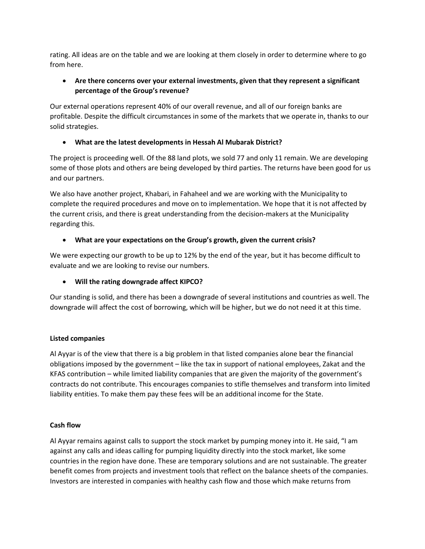rating. All ideas are on the table and we are looking at them closely in order to determine where to go from here.

## • **Are there concerns over your external investments, given that they represent a significant percentage of the Group's revenue?**

Our external operations represent 40% of our overall revenue, and all of our foreign banks are profitable. Despite the difficult circumstances in some of the markets that we operate in, thanks to our solid strategies.

## • **What are the latest developments in Hessah Al Mubarak District?**

The project is proceeding well. Of the 88 land plots, we sold 77 and only 11 remain. We are developing some of those plots and others are being developed by third parties. The returns have been good for us and our partners.

We also have another project, Khabari, in Fahaheel and we are working with the Municipality to complete the required procedures and move on to implementation. We hope that it is not affected by the current crisis, and there is great understanding from the decision-makers at the Municipality regarding this.

## • **What are your expectations on the Group's growth, given the current crisis?**

We were expecting our growth to be up to 12% by the end of the year, but it has become difficult to evaluate and we are looking to revise our numbers.

#### • **Will the rating downgrade affect KIPCO?**

Our standing is solid, and there has been a downgrade of several institutions and countries as well. The downgrade will affect the cost of borrowing, which will be higher, but we do not need it at this time.

#### **Listed companies**

Al Ayyar is of the view that there is a big problem in that listed companies alone bear the financial obligations imposed by the government – like the tax in support of national employees, Zakat and the KFAS contribution – while limited liability companies that are given the majority of the government's contracts do not contribute. This encourages companies to stifle themselves and transform into limited liability entities. To make them pay these fees will be an additional income for the State.

#### **Cash flow**

Al Ayyar remains against calls to support the stock market by pumping money into it. He said, "I am against any calls and ideas calling for pumping liquidity directly into the stock market, like some countries in the region have done. These are temporary solutions and are not sustainable. The greater benefit comes from projects and investment tools that reflect on the balance sheets of the companies. Investors are interested in companies with healthy cash flow and those which make returns from